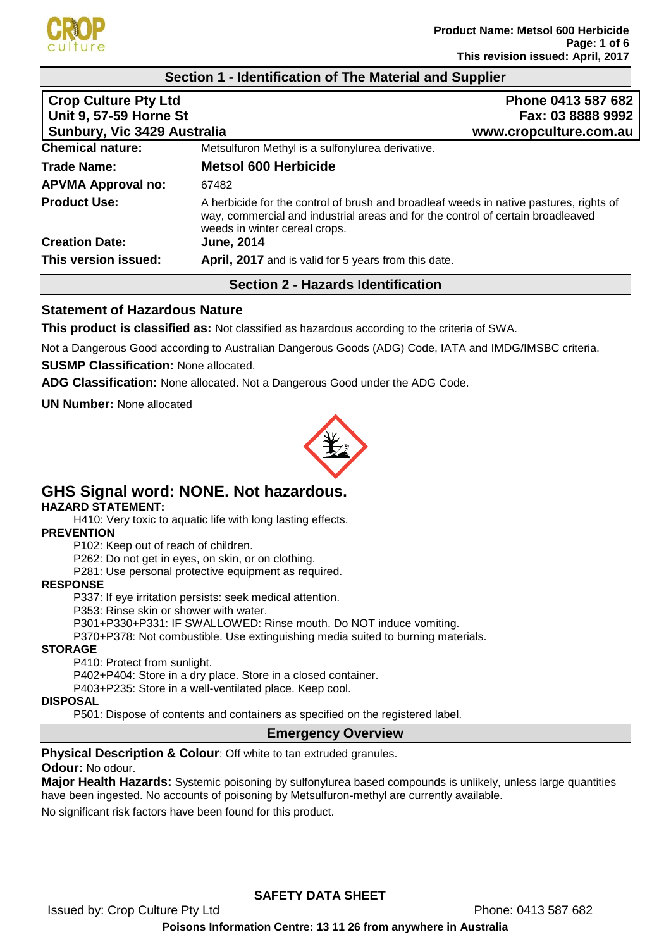

## **Section 1 - Identification of The Material and Supplier**

| <b>Crop Culture Pty Ltd</b>                                         | Phone 0413 587 682                                                                                                                                                                                         |
|---------------------------------------------------------------------|------------------------------------------------------------------------------------------------------------------------------------------------------------------------------------------------------------|
| <b>Unit 9, 57-59 Horne St</b><br><b>Sunbury, Vic 3429 Australia</b> | Fax: 03 8888 9992<br>www.cropculture.com.au                                                                                                                                                                |
| <b>Chemical nature:</b>                                             | Metsulfuron Methyl is a sulfonylurea derivative.                                                                                                                                                           |
| <b>Trade Name:</b>                                                  | <b>Metsol 600 Herbicide</b>                                                                                                                                                                                |
| <b>APVMA Approval no:</b>                                           | 67482                                                                                                                                                                                                      |
| <b>Product Use:</b>                                                 | A herbicide for the control of brush and broadleaf weeds in native pastures, rights of<br>way, commercial and industrial areas and for the control of certain broadleaved<br>weeds in winter cereal crops. |
| <b>Creation Date:</b>                                               | <b>June, 2014</b>                                                                                                                                                                                          |
| This version issued:                                                | April, 2017 and is valid for 5 years from this date.                                                                                                                                                       |
|                                                                     | <b>Section 2 - Hazards Identification</b>                                                                                                                                                                  |

## **Statement of Hazardous Nature**

**This product is classified as:** Not classified as hazardous according to the criteria of SWA.

Not a Dangerous Good according to Australian Dangerous Goods (ADG) Code, IATA and IMDG/IMSBC criteria.

**SUSMP Classification:** None allocated.

**ADG Classification:** None allocated. Not a Dangerous Good under the ADG Code.

**UN Number:** None allocated



# **GHS Signal word: NONE. Not hazardous.**

## **HAZARD STATEMENT:**

H410: Very toxic to aquatic life with long lasting effects.

## **PREVENTION**

P102: Keep out of reach of children.

P262: Do not get in eyes, on skin, or on clothing.

P281: Use personal protective equipment as required.

## **RESPONSE**

P337: If eye irritation persists: seek medical attention.

P353: Rinse skin or shower with water.

P301+P330+P331: IF SWALLOWED: Rinse mouth. Do NOT induce vomiting.

P370+P378: Not combustible. Use extinguishing media suited to burning materials.

## **STORAGE**

P410: Protect from sunlight.

P402+P404: Store in a dry place. Store in a closed container.

P403+P235: Store in a well-ventilated place. Keep cool.

## **DISPOSAL**

P501: Dispose of contents and containers as specified on the registered label.

## **Emergency Overview**

**Physical Description & Colour: Off white to tan extruded granules. Odour:** No odour.

**Major Health Hazards:** Systemic poisoning by sulfonylurea based compounds is unlikely, unless large quantities have been ingested. No accounts of poisoning by Metsulfuron-methyl are currently available.

No significant risk factors have been found for this product.

# **SAFETY DATA SHEET**

Issued by: Crop Culture Pty Ltd **Phone: 0413 587 682**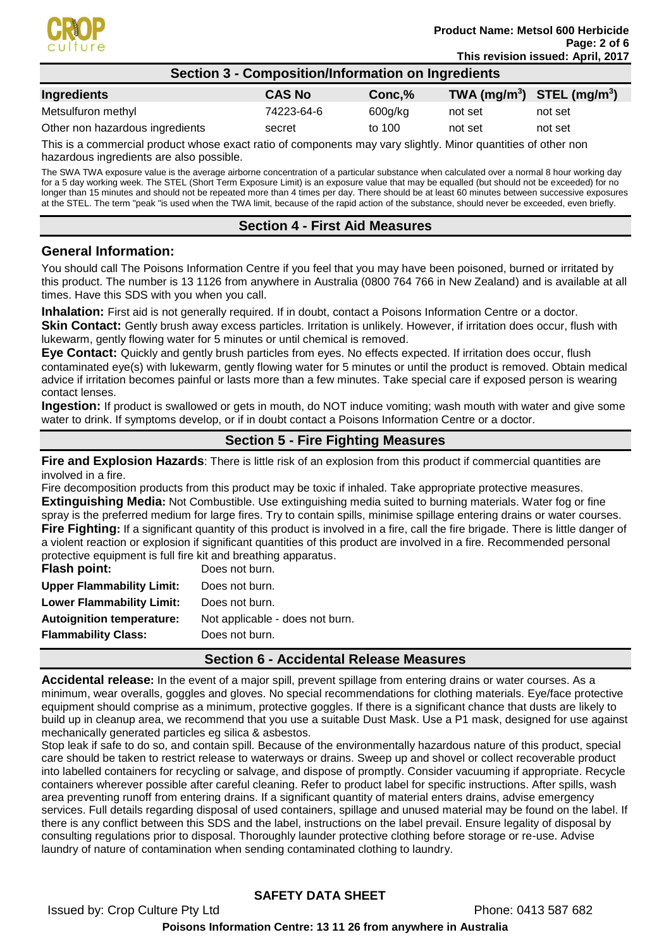

## **Section 3 - Composition/Information on Ingredients**

| Ingredients                     | <b>CAS No</b> | Conc.%  | TWA $(mg/m^3)$ STEL $(mg/m^3)$ |         |
|---------------------------------|---------------|---------|--------------------------------|---------|
| Metsulfuron methyl              | 74223-64-6    | 600g/kg | not set                        | not set |
| Other non hazardous ingredients | secret        | to 100  | not set                        | not set |
|                                 |               |         |                                |         |

This is a commercial product whose exact ratio of components may vary slightly. Minor quantities of other non hazardous ingredients are also possible.

The SWA TWA exposure value is the average airborne concentration of a particular substance when calculated over a normal 8 hour working day for a 5 day working week. The STEL (Short Term Exposure Limit) is an exposure value that may be equalled (but should not be exceeded) for no longer than 15 minutes and should not be repeated more than 4 times per day. There should be at least 60 minutes between successive exposures at the STEL. The term "peak "is used when the TWA limit, because of the rapid action of the substance, should never be exceeded, even briefly.

# **Section 4 - First Aid Measures**

## **General Information:**

You should call The Poisons Information Centre if you feel that you may have been poisoned, burned or irritated by this product. The number is 13 1126 from anywhere in Australia (0800 764 766 in New Zealand) and is available at all times. Have this SDS with you when you call.

**Inhalation:** First aid is not generally required. If in doubt, contact a Poisons Information Centre or a doctor. **Skin Contact:** Gently brush away excess particles. Irritation is unlikely. However, if irritation does occur, flush with lukewarm, gently flowing water for 5 minutes or until chemical is removed.

**Eye Contact:** Quickly and gently brush particles from eyes. No effects expected. If irritation does occur, flush contaminated eye(s) with lukewarm, gently flowing water for 5 minutes or until the product is removed. Obtain medical advice if irritation becomes painful or lasts more than a few minutes. Take special care if exposed person is wearing contact lenses.

**Ingestion:** If product is swallowed or gets in mouth, do NOT induce vomiting; wash mouth with water and give some water to drink. If symptoms develop, or if in doubt contact a Poisons Information Centre or a doctor.

# **Section 5 - Fire Fighting Measures**

**Fire and Explosion Hazards**: There is little risk of an explosion from this product if commercial quantities are involved in a fire.

Fire decomposition products from this product may be toxic if inhaled. Take appropriate protective measures. **Extinguishing Media:** Not Combustible. Use extinguishing media suited to burning materials. Water fog or fine spray is the preferred medium for large fires. Try to contain spills, minimise spillage entering drains or water courses. **Fire Fighting:** If a significant quantity of this product is involved in a fire, call the fire brigade. There is little danger of a violent reaction or explosion if significant quantities of this product are involved in a fire. Recommended personal protective equipment is full fire kit and breathing apparatus.

| <b>Flash point:</b>              | Does not burn.                  |
|----------------------------------|---------------------------------|
| <b>Upper Flammability Limit:</b> | Does not burn.                  |
| <b>Lower Flammability Limit:</b> | Does not burn.                  |
| <b>Autoignition temperature:</b> | Not applicable - does not burn. |
| <b>Flammability Class:</b>       | Does not burn.                  |
|                                  |                                 |

## **Section 6 - Accidental Release Measures**

**Accidental release:** In the event of a major spill, prevent spillage from entering drains or water courses. As a minimum, wear overalls, goggles and gloves. No special recommendations for clothing materials. Eye/face protective equipment should comprise as a minimum, protective goggles. If there is a significant chance that dusts are likely to build up in cleanup area, we recommend that you use a suitable Dust Mask. Use a P1 mask, designed for use against mechanically generated particles eg silica & asbestos.

Stop leak if safe to do so, and contain spill. Because of the environmentally hazardous nature of this product, special care should be taken to restrict release to waterways or drains. Sweep up and shovel or collect recoverable product into labelled containers for recycling or salvage, and dispose of promptly. Consider vacuuming if appropriate. Recycle containers wherever possible after careful cleaning. Refer to product label for specific instructions. After spills, wash area preventing runoff from entering drains. If a significant quantity of material enters drains, advise emergency services. Full details regarding disposal of used containers, spillage and unused material may be found on the label. If there is any conflict between this SDS and the label, instructions on the label prevail. Ensure legality of disposal by consulting regulations prior to disposal. Thoroughly launder protective clothing before storage or re-use. Advise laundry of nature of contamination when sending contaminated clothing to laundry.

# **SAFETY DATA SHEET**

Issued by: Crop Culture Pty Ltd **Phone: 0413 587 682** 

## **Poisons Information Centre: 13 11 26 from anywhere in Australia**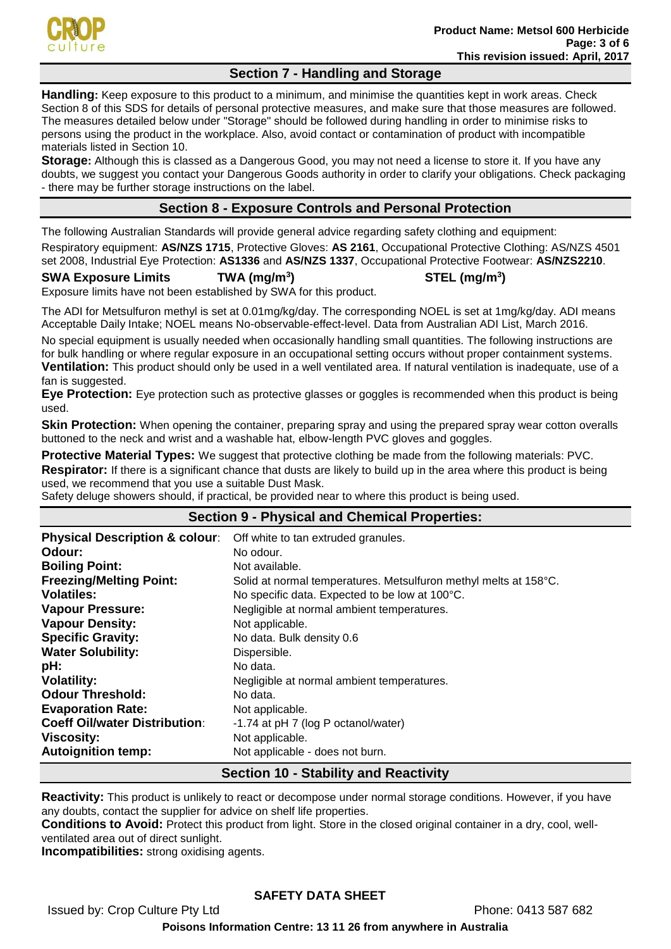

# **Section 7 - Handling and Storage**

**Handling:** Keep exposure to this product to a minimum, and minimise the quantities kept in work areas. Check Section 8 of this SDS for details of personal protective measures, and make sure that those measures are followed. The measures detailed below under "Storage" should be followed during handling in order to minimise risks to persons using the product in the workplace. Also, avoid contact or contamination of product with incompatible materials listed in Section 10.

**Storage:** Although this is classed as a Dangerous Good, you may not need a license to store it. If you have any doubts, we suggest you contact your Dangerous Goods authority in order to clarify your obligations. Check packaging - there may be further storage instructions on the label.

# **Section 8 - Exposure Controls and Personal Protection**

The following Australian Standards will provide general advice regarding safety clothing and equipment: Respiratory equipment: **AS/NZS 1715**, Protective Gloves: **AS 2161**, Occupational Protective Clothing: AS/NZS 4501 set 2008, Industrial Eye Protection: **AS1336** and **AS/NZS 1337**, Occupational Protective Footwear: **AS/NZS2210**.

**SWA Exposure Limits TWA (mg/m<sup>3</sup>**

**) STEL (mg/m<sup>3</sup> )**

Exposure limits have not been established by SWA for this product.

The ADI for Metsulfuron methyl is set at 0.01mg/kg/day. The corresponding NOEL is set at 1mg/kg/day. ADI means Acceptable Daily Intake; NOEL means No-observable-effect-level. Data from Australian ADI List, March 2016.

No special equipment is usually needed when occasionally handling small quantities. The following instructions are for bulk handling or where regular exposure in an occupational setting occurs without proper containment systems. **Ventilation:** This product should only be used in a well ventilated area. If natural ventilation is inadequate, use of a fan is suggested.

**Eye Protection:** Eye protection such as protective glasses or goggles is recommended when this product is being used.

**Skin Protection:** When opening the container, preparing spray and using the prepared spray wear cotton overalls buttoned to the neck and wrist and a washable hat, elbow-length PVC gloves and goggles.

**Protective Material Types:** We suggest that protective clothing be made from the following materials: PVC. **Respirator:** If there is a significant chance that dusts are likely to build up in the area where this product is being used, we recommend that you use a suitable Dust Mask.

Safety deluge showers should, if practical, be provided near to where this product is being used.

| <u>odior, abiago bilomolo bilodia, il praeliedi, bo provided fiedi to milolo tillo product le bollig doba.</u> |                                                                  |  |
|----------------------------------------------------------------------------------------------------------------|------------------------------------------------------------------|--|
| <b>Section 9 - Physical and Chemical Properties:</b>                                                           |                                                                  |  |
| <b>Physical Description &amp; colour:</b>                                                                      | Off white to tan extruded granules.                              |  |
| Odour:                                                                                                         | No odour.                                                        |  |
| <b>Boiling Point:</b>                                                                                          | Not available.                                                   |  |
| <b>Freezing/Melting Point:</b>                                                                                 | Solid at normal temperatures. Metsulfuron methyl melts at 158°C. |  |
| <b>Volatiles:</b>                                                                                              | No specific data. Expected to be low at 100°C.                   |  |
| <b>Vapour Pressure:</b>                                                                                        | Negligible at normal ambient temperatures.                       |  |
| <b>Vapour Density:</b>                                                                                         | Not applicable.                                                  |  |
| <b>Specific Gravity:</b>                                                                                       | No data. Bulk density 0.6                                        |  |
| <b>Water Solubility:</b>                                                                                       | Dispersible.                                                     |  |
| pH:                                                                                                            | No data.                                                         |  |
| <b>Volatility:</b>                                                                                             | Negligible at normal ambient temperatures.                       |  |
| <b>Odour Threshold:</b>                                                                                        | No data.                                                         |  |
| <b>Evaporation Rate:</b>                                                                                       | Not applicable.                                                  |  |
| <b>Coeff Oil/water Distribution:</b>                                                                           | -1.74 at pH 7 (log P octanol/water)                              |  |
| Viscosity:                                                                                                     | Not applicable.                                                  |  |
| <b>Autoignition temp:</b>                                                                                      | Not applicable - does not burn.                                  |  |
| <b>Section 10 - Stability and Reactivity</b>                                                                   |                                                                  |  |

**Reactivity:** This product is unlikely to react or decompose under normal storage conditions. However, if you have any doubts, contact the supplier for advice on shelf life properties.

**Conditions to Avoid:** Protect this product from light. Store in the closed original container in a dry, cool, wellventilated area out of direct sunlight.

**Incompatibilities:** strong oxidising agents.

# **SAFETY DATA SHEET**

Issued by: Crop Culture Pty Ltd **Phone: 0413 587 682** 

**Poisons Information Centre: 13 11 26 from anywhere in Australia**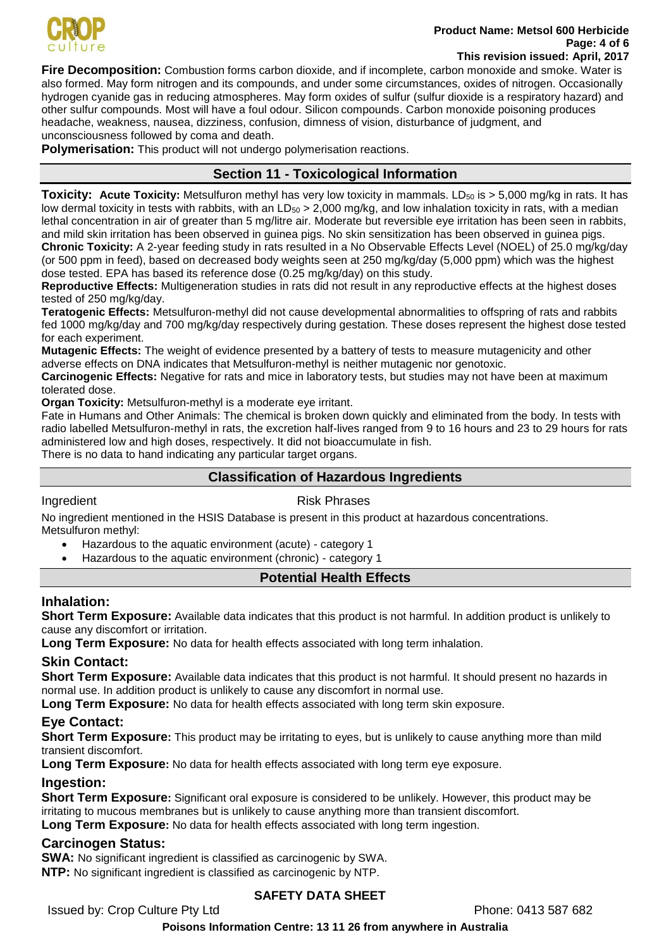

### **Product Name: Metsol 600 Herbicide Page: 4 of 6 This revision issued: April, 2017**

**Fire Decomposition:** Combustion forms carbon dioxide, and if incomplete, carbon monoxide and smoke. Water is also formed. May form nitrogen and its compounds, and under some circumstances, oxides of nitrogen. Occasionally hydrogen cyanide gas in reducing atmospheres. May form oxides of sulfur (sulfur dioxide is a respiratory hazard) and other sulfur compounds. Most will have a foul odour. Silicon compounds. Carbon monoxide poisoning produces headache, weakness, nausea, dizziness, confusion, dimness of vision, disturbance of judgment, and unconsciousness followed by coma and death.

**Polymerisation:** This product will not undergo polymerisation reactions.

# **Section 11 - Toxicological Information**

**Toxicity: Acute Toxicity:** Metsulfuron methyl has very low toxicity in mammals. LD<sub>50</sub> is > 5,000 mg/kg in rats. It has low dermal toxicity in tests with rabbits, with an  $LD_{50} > 2,000$  mg/kg, and low inhalation toxicity in rats, with a median lethal concentration in air of greater than 5 mg/litre air. Moderate but reversible eye irritation has been seen in rabbits, and mild skin irritation has been observed in guinea pigs. No skin sensitization has been observed in guinea pigs. **Chronic Toxicity:** A 2-year feeding study in rats resulted in a No Observable Effects Level (NOEL) of 25.0 mg/kg/day (or 500 ppm in feed), based on decreased body weights seen at 250 mg/kg/day (5,000 ppm) which was the highest dose tested. EPA has based its reference dose (0.25 mg/kg/day) on this study.

**Reproductive Effects:** Multigeneration studies in rats did not result in any reproductive effects at the highest doses tested of 250 mg/kg/day.

**Teratogenic Effects:** Metsulfuron-methyl did not cause developmental abnormalities to offspring of rats and rabbits fed 1000 mg/kg/day and 700 mg/kg/day respectively during gestation. These doses represent the highest dose tested for each experiment.

**Mutagenic Effects:** The weight of evidence presented by a battery of tests to measure mutagenicity and other adverse effects on DNA indicates that Metsulfuron-methyl is neither mutagenic nor genotoxic.

**Carcinogenic Effects:** Negative for rats and mice in laboratory tests, but studies may not have been at maximum tolerated dose.

**Organ Toxicity:** Metsulfuron-methyl is a moderate eye irritant.

Fate in Humans and Other Animals: The chemical is broken down quickly and eliminated from the body. In tests with radio labelled Metsulfuron-methyl in rats, the excretion half-lives ranged from 9 to 16 hours and 23 to 29 hours for rats administered low and high doses, respectively. It did not bioaccumulate in fish.

There is no data to hand indicating any particular target organs.

# **Classification of Hazardous Ingredients**

## Ingredient **Risk Phrases**

No ingredient mentioned in the HSIS Database is present in this product at hazardous concentrations. Metsulfuron methyl:

• Hazardous to the aquatic environment (acute) - category 1

• Hazardous to the aquatic environment (chronic) - category 1

# **Potential Health Effects**

# **Inhalation:**

**Short Term Exposure:** Available data indicates that this product is not harmful. In addition product is unlikely to cause any discomfort or irritation.

**Long Term Exposure:** No data for health effects associated with long term inhalation.

# **Skin Contact:**

**Short Term Exposure:** Available data indicates that this product is not harmful. It should present no hazards in normal use. In addition product is unlikely to cause any discomfort in normal use.

**Long Term Exposure:** No data for health effects associated with long term skin exposure.

## **Eye Contact:**

**Short Term Exposure:** This product may be irritating to eyes, but is unlikely to cause anything more than mild transient discomfort.

**Long Term Exposure:** No data for health effects associated with long term eye exposure.

# **Ingestion:**

**Short Term Exposure:** Significant oral exposure is considered to be unlikely. However, this product may be irritating to mucous membranes but is unlikely to cause anything more than transient discomfort. **Long Term Exposure:** No data for health effects associated with long term ingestion.

# **Carcinogen Status:**

**SWA:** No significant ingredient is classified as carcinogenic by SWA. **NTP:** No significant ingredient is classified as carcinogenic by NTP.

# **SAFETY DATA SHEET**

Issued by: Crop Culture Pty Ltd **Phone: 0413 587 682** 

**Poisons Information Centre: 13 11 26 from anywhere in Australia**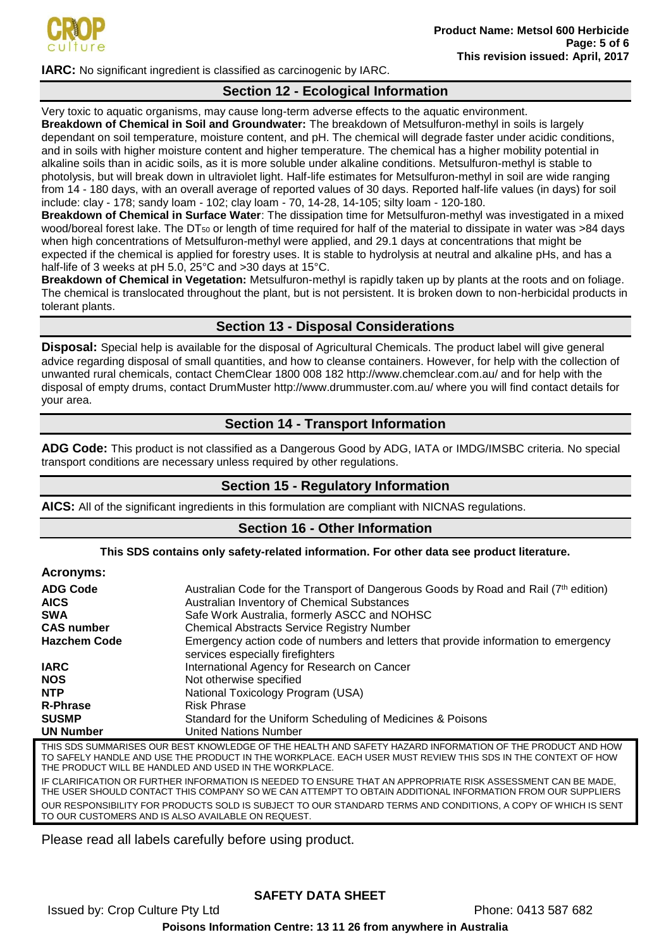

**IARC:** No significant ingredient is classified as carcinogenic by IARC.

# **Section 12 - Ecological Information**

Very toxic to aquatic organisms, may cause long-term adverse effects to the aquatic environment. **Breakdown of Chemical in Soil and Groundwater:** The breakdown of Metsulfuron-methyl in soils is largely dependant on soil temperature, moisture content, and pH. The chemical will degrade faster under acidic conditions, and in soils with higher moisture content and higher temperature. The chemical has a higher mobility potential in alkaline soils than in acidic soils, as it is more soluble under alkaline conditions. Metsulfuron-methyl is stable to photolysis, but will break down in ultraviolet light. Half-life estimates for Metsulfuron-methyl in soil are wide ranging from 14 - 180 days, with an overall average of reported values of 30 days. Reported half-life values (in days) for soil include: clay - 178; sandy loam - 102; clay loam - 70, 14-28, 14-105; silty loam - 120-180.

**Breakdown of Chemical in Surface Water**: The dissipation time for Metsulfuron-methyl was investigated in a mixed wood/boreal forest lake. The DT<sub>50</sub> or length of time required for half of the material to dissipate in water was >84 days when high concentrations of Metsulfuron-methyl were applied, and 29.1 days at concentrations that might be expected if the chemical is applied for forestry uses. It is stable to hydrolysis at neutral and alkaline pHs, and has a half-life of 3 weeks at pH 5.0, 25°C and >30 days at 15°C.

**Breakdown of Chemical in Vegetation:** Metsulfuron-methyl is rapidly taken up by plants at the roots and on foliage. The chemical is translocated throughout the plant, but is not persistent. It is broken down to non-herbicidal products in tolerant plants.

## **Section 13 - Disposal Considerations**

**Disposal:** Special help is available for the disposal of Agricultural Chemicals. The product label will give general advice regarding disposal of small quantities, and how to cleanse containers. However, for help with the collection of unwanted rural chemicals, contact ChemClear 1800 008 182 http://www.chemclear.com.au/ and for help with the disposal of empty drums, contact DrumMuster http://www.drummuster.com.au/ where you will find contact details for your area.

# **Section 14 - Transport Information**

**ADG Code:** This product is not classified as a Dangerous Good by ADG, IATA or IMDG/IMSBC criteria. No special transport conditions are necessary unless required by other regulations.

# **Section 15 - Regulatory Information**

**AICS:** All of the significant ingredients in this formulation are compliant with NICNAS regulations.

## **Section 16 - Other Information**

## **This SDS contains only safety-related information. For other data see product literature.**

| <b>Acronyms:</b> |  |  |
|------------------|--|--|
|                  |  |  |

| <b>ADG Code</b><br><b>AICS</b> | Australian Code for the Transport of Dangerous Goods by Road and Rail (7th edition)<br>Australian Inventory of Chemical Substances |
|--------------------------------|------------------------------------------------------------------------------------------------------------------------------------|
| <b>SWA</b>                     | Safe Work Australia, formerly ASCC and NOHSC                                                                                       |
| <b>CAS number</b>              | <b>Chemical Abstracts Service Registry Number</b>                                                                                  |
| <b>Hazchem Code</b>            | Emergency action code of numbers and letters that provide information to emergency<br>services especially firefighters             |
| <b>IARC</b>                    | International Agency for Research on Cancer                                                                                        |
| <b>NOS</b>                     | Not otherwise specified                                                                                                            |
| <b>NTP</b>                     | National Toxicology Program (USA)                                                                                                  |
| <b>R-Phrase</b>                | <b>Risk Phrase</b>                                                                                                                 |
| <b>SUSMP</b>                   | Standard for the Uniform Scheduling of Medicines & Poisons                                                                         |
| <b>UN Number</b>               | <b>United Nations Number</b>                                                                                                       |
|                                | THIS SDS SHIMMARISES OHR REST KNOWLEDGE OF THE HEALTH AND SAFETY HAZARD INFORMATION OF THE PRODUCT AND HOW                         |

THIS SDS SUMMARISES OUR BEST KNOWLEDGE OF THE HEALTH AND SAFETY HAZARD INFORMATION OF THE PRODUCT AND HOW TO SAFELY HANDLE AND USE THE PRODUCT IN THE WORKPLACE. EACH USER MUST REVIEW THIS SDS IN THE CONTEXT OF HOW THE PRODUCT WILL BE HANDLED AND USED IN THE WORKPLACE.

IF CLARIFICATION OR FURTHER INFORMATION IS NEEDED TO ENSURE THAT AN APPROPRIATE RISK ASSESSMENT CAN BE MADE, THE USER SHOULD CONTACT THIS COMPANY SO WE CAN ATTEMPT TO OBTAIN ADDITIONAL INFORMATION FROM OUR SUPPLIERS OUR RESPONSIBILITY FOR PRODUCTS SOLD IS SUBJECT TO OUR STANDARD TERMS AND CONDITIONS, A COPY OF WHICH IS SENT TO OUR CUSTOMERS AND IS ALSO AVAILABLE ON REQUEST.

Please read all labels carefully before using product.